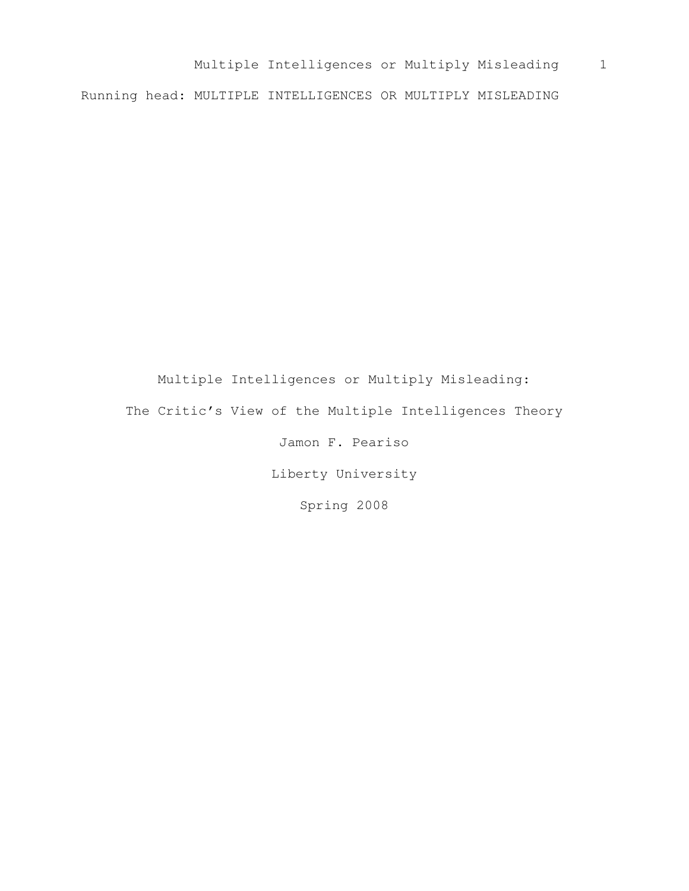Multiple Intelligences or Multiply Misleading 1 Running head: MULTIPLE INTELLIGENCES OR MULTIPLY MISLEADING

Multiple Intelligences or Multiply Misleading: The Critic's View of the Multiple Intelligences Theory Jamon F. Peariso Liberty University

Spring 2008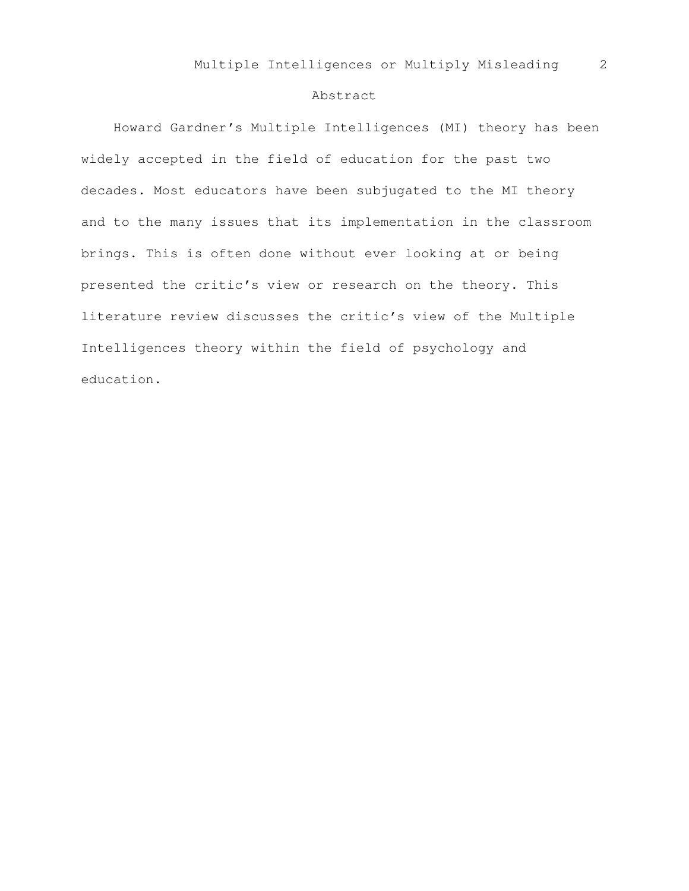## Abstract

 Howard Gardner's Multiple Intelligences (MI) theory has been widely accepted in the field of education for the past two decades. Most educators have been subjugated to the MI theory and to the many issues that its implementation in the classroom brings. This is often done without ever looking at or being presented the critic's view or research on the theory. This literature review discusses the critic's view of the Multiple Intelligences theory within the field of psychology and education.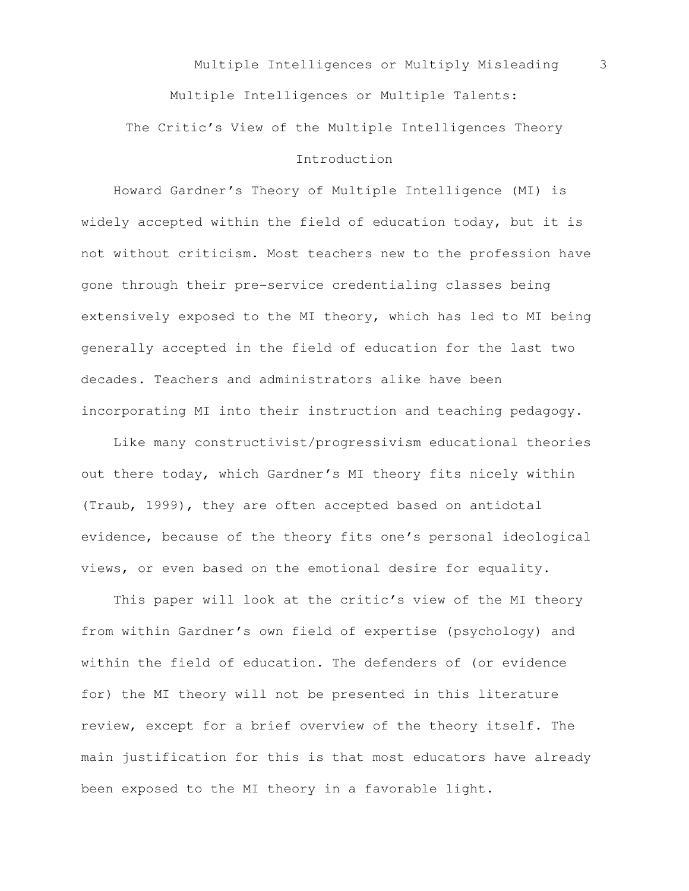Multiple Intelligences or Multiply Misleading 3 Multiple Intelligences or Multiple Talents: The Critic's View of the Multiple Intelligences Theory Introduction

 Howard Gardner's Theory of Multiple Intelligence (MI) is widely accepted within the field of education today, but it is not without criticism. Most teachers new to the profession have gone through their pre-service credentialing classes being extensively exposed to the MI theory, which has led to MI being generally accepted in the field of education for the last two decades. Teachers and administrators alike have been incorporating MI into their instruction and teaching pedagogy.

 Like many constructivist/progressivism educational theories out there today, which Gardner's MI theory fits nicely within (Traub, 1999), they are often accepted based on antidotal evidence, because of the theory fits one's personal ideological views, or even based on the emotional desire for equality.

 This paper will look at the critic's view of the MI theory from within Gardner's own field of expertise (psychology) and within the field of education. The defenders of (or evidence for) the MI theory will not be presented in this literature review, except for a brief overview of the theory itself. The main justification for this is that most educators have already been exposed to the MI theory in a favorable light.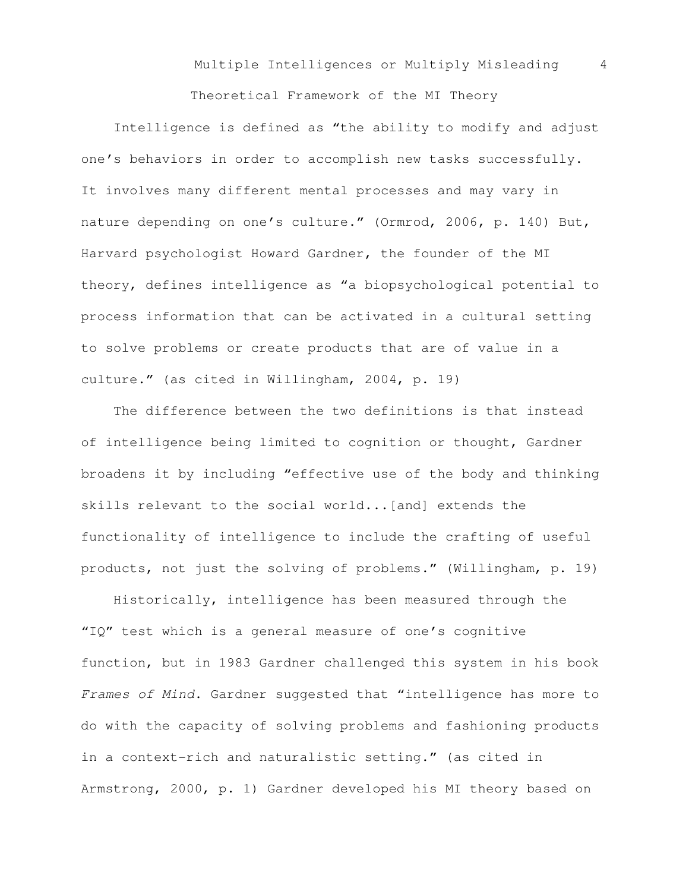Theoretical Framework of the MI Theory

 Intelligence is defined as "the ability to modify and adjust one's behaviors in order to accomplish new tasks successfully. It involves many different mental processes and may vary in nature depending on one's culture." (Ormrod, 2006, p. 140) But, Harvard psychologist Howard Gardner, the founder of the MI theory, defines intelligence as "a biopsychological potential to process information that can be activated in a cultural setting to solve problems or create products that are of value in a culture." (as cited in Willingham, 2004, p. 19)

 The difference between the two definitions is that instead of intelligence being limited to cognition or thought, Gardner broadens it by including "effective use of the body and thinking skills relevant to the social world...[and] extends the functionality of intelligence to include the crafting of useful products, not just the solving of problems." (Willingham, p. 19)

 Historically, intelligence has been measured through the "IQ" test which is a general measure of one's cognitive function, but in 1983 Gardner challenged this system in his book Frames of Mind. Gardner suggested that "intelligence has more to do with the capacity of solving problems and fashioning products in a context-rich and naturalistic setting." (as cited in Armstrong, 2000, p. 1) Gardner developed his MI theory based on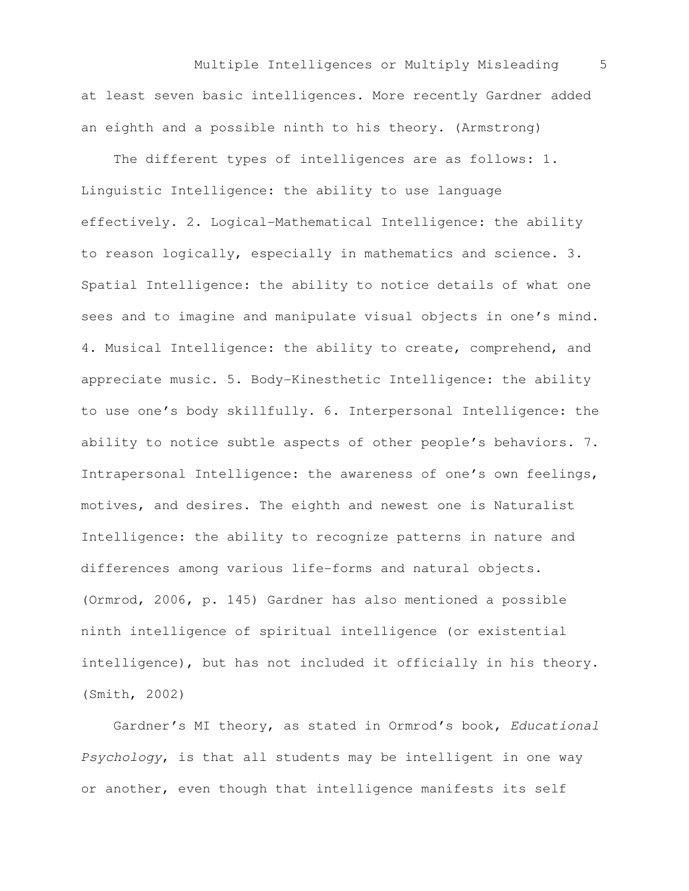Multiple Intelligences or Multiply Misleading 5 at least seven basic intelligences. More recently Gardner added an eighth and a possible ninth to his theory. (Armstrong)

 The different types of intelligences are as follows: 1. Linguistic Intelligence: the ability to use language effectively. 2. Logical-Mathematical Intelligence: the ability to reason logically, especially in mathematics and science. 3. Spatial Intelligence: the ability to notice details of what one sees and to imagine and manipulate visual objects in one's mind. 4. Musical Intelligence: the ability to create, comprehend, and appreciate music. 5. Body-Kinesthetic Intelligence: the ability to use one's body skillfully. 6. Interpersonal Intelligence: the ability to notice subtle aspects of other people's behaviors. 7. Intrapersonal Intelligence: the awareness of one's own feelings, motives, and desires. The eighth and newest one is Naturalist Intelligence: the ability to recognize patterns in nature and differences among various life-forms and natural objects. (Ormrod, 2006, p. 145) Gardner has also mentioned a possible ninth intelligence of spiritual intelligence (or existential intelligence), but has not included it officially in his theory. (Smith, 2002)

 Gardner's MI theory, as stated in Ormrod's book, Educational Psychology, is that all students may be intelligent in one way or another, even though that intelligence manifests its self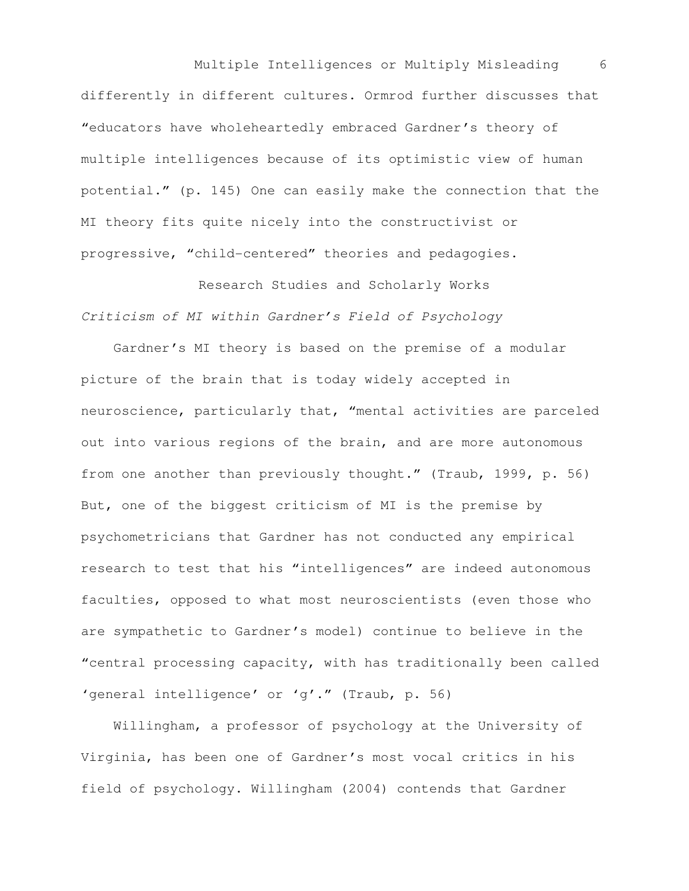Multiple Intelligences or Multiply Misleading 6 differently in different cultures. Ormrod further discusses that "educators have wholeheartedly embraced Gardner's theory of multiple intelligences because of its optimistic view of human potential." (p. 145) One can easily make the connection that the MI theory fits quite nicely into the constructivist or progressive, "child-centered" theories and pedagogies.

Research Studies and Scholarly Works Criticism of MI within Gardner's Field of Psychology

 Gardner's MI theory is based on the premise of a modular picture of the brain that is today widely accepted in neuroscience, particularly that, "mental activities are parceled out into various regions of the brain, and are more autonomous from one another than previously thought." (Traub, 1999, p. 56) But, one of the biggest criticism of MI is the premise by psychometricians that Gardner has not conducted any empirical research to test that his "intelligences" are indeed autonomous faculties, opposed to what most neuroscientists (even those who are sympathetic to Gardner's model) continue to believe in the "central processing capacity, with has traditionally been called 'general intelligence' or 'g'." (Traub, p. 56)

 Willingham, a professor of psychology at the University of Virginia, has been one of Gardner's most vocal critics in his field of psychology. Willingham (2004) contends that Gardner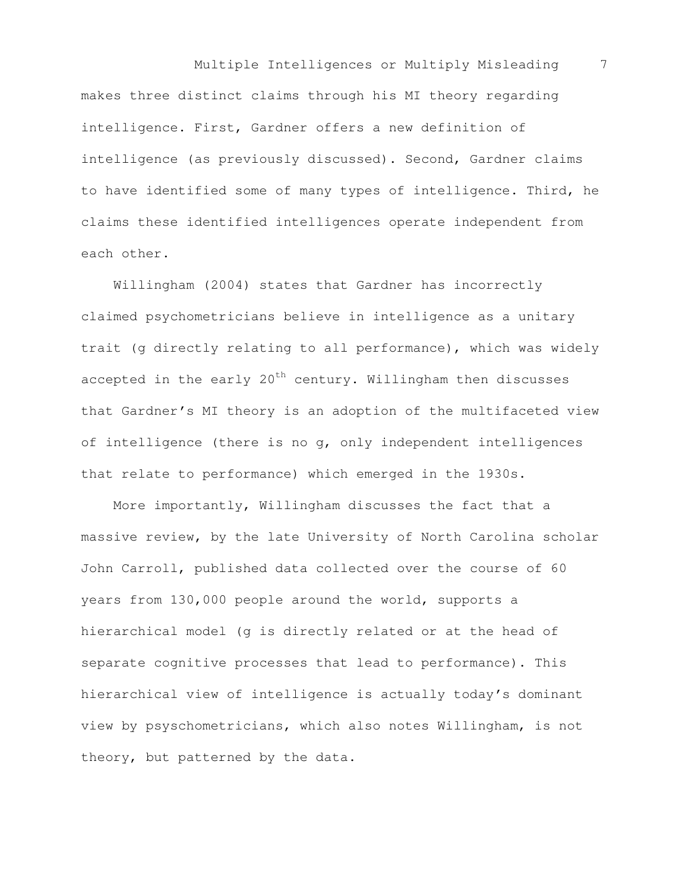Multiple Intelligences or Multiply Misleading 7 makes three distinct claims through his MI theory regarding intelligence. First, Gardner offers a new definition of intelligence (as previously discussed). Second, Gardner claims to have identified some of many types of intelligence. Third, he claims these identified intelligences operate independent from each other.

 Willingham (2004) states that Gardner has incorrectly claimed psychometricians believe in intelligence as a unitary trait (g directly relating to all performance), which was widely accepted in the early  $20<sup>th</sup>$  century. Willingham then discusses that Gardner's MI theory is an adoption of the multifaceted view of intelligence (there is no g, only independent intelligences that relate to performance) which emerged in the 1930s.

 More importantly, Willingham discusses the fact that a massive review, by the late University of North Carolina scholar John Carroll, published data collected over the course of 60 years from 130,000 people around the world, supports a hierarchical model (g is directly related or at the head of separate cognitive processes that lead to performance). This hierarchical view of intelligence is actually today's dominant view by psyschometricians, which also notes Willingham, is not theory, but patterned by the data.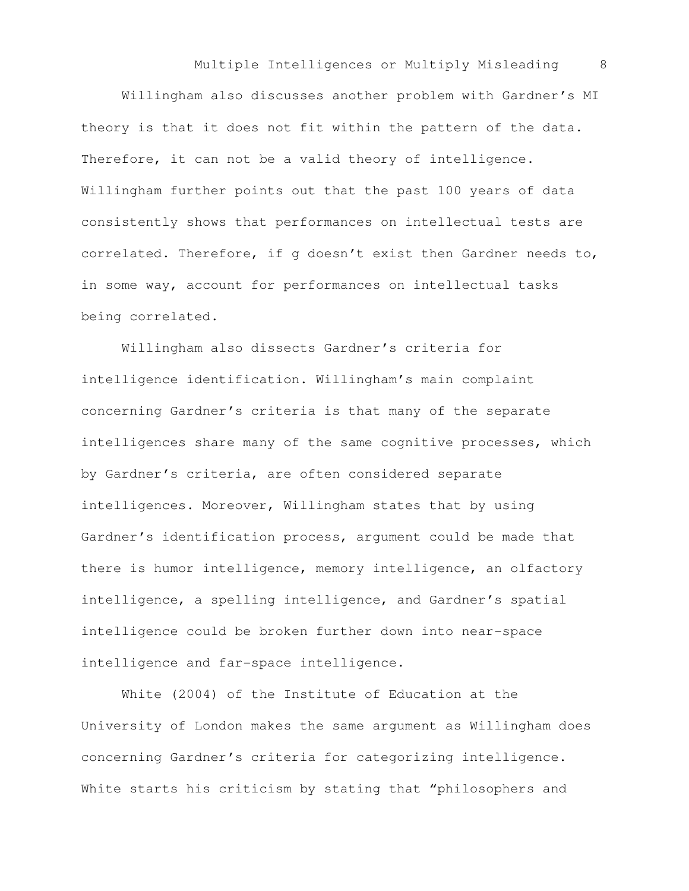Willingham also discusses another problem with Gardner's MI theory is that it does not fit within the pattern of the data. Therefore, it can not be a valid theory of intelligence. Willingham further points out that the past 100 years of data consistently shows that performances on intellectual tests are correlated. Therefore, if g doesn't exist then Gardner needs to, in some way, account for performances on intellectual tasks being correlated.

Willingham also dissects Gardner's criteria for intelligence identification. Willingham's main complaint concerning Gardner's criteria is that many of the separate intelligences share many of the same cognitive processes, which by Gardner's criteria, are often considered separate intelligences. Moreover, Willingham states that by using Gardner's identification process, argument could be made that there is humor intelligence, memory intelligence, an olfactory intelligence, a spelling intelligence, and Gardner's spatial intelligence could be broken further down into near-space intelligence and far-space intelligence.

White (2004) of the Institute of Education at the University of London makes the same argument as Willingham does concerning Gardner's criteria for categorizing intelligence. White starts his criticism by stating that "philosophers and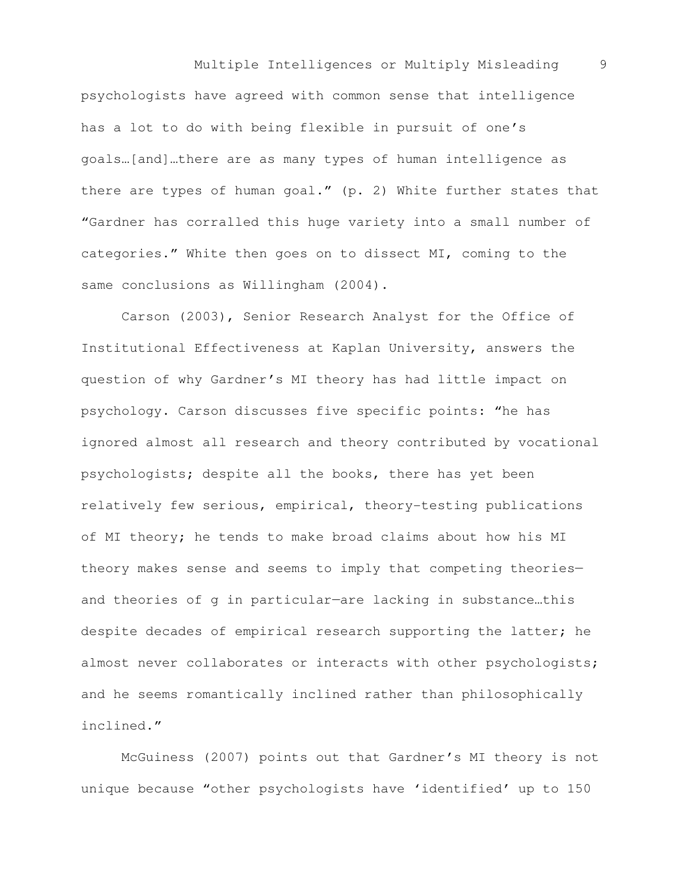Multiple Intelligences or Multiply Misleading 9 psychologists have agreed with common sense that intelligence has a lot to do with being flexible in pursuit of one's goals…[and]…there are as many types of human intelligence as there are types of human goal." (p. 2) White further states that "Gardner has corralled this huge variety into a small number of categories." White then goes on to dissect MI, coming to the same conclusions as Willingham (2004).

Carson (2003), Senior Research Analyst for the Office of Institutional Effectiveness at Kaplan University, answers the question of why Gardner's MI theory has had little impact on psychology. Carson discusses five specific points: "he has ignored almost all research and theory contributed by vocational psychologists; despite all the books, there has yet been relatively few serious, empirical, theory-testing publications of MI theory; he tends to make broad claims about how his MI theory makes sense and seems to imply that competing theories and theories of g in particular—are lacking in substance…this despite decades of empirical research supporting the latter; he almost never collaborates or interacts with other psychologists; and he seems romantically inclined rather than philosophically inclined."

McGuiness (2007) points out that Gardner's MI theory is not unique because "other psychologists have 'identified' up to 150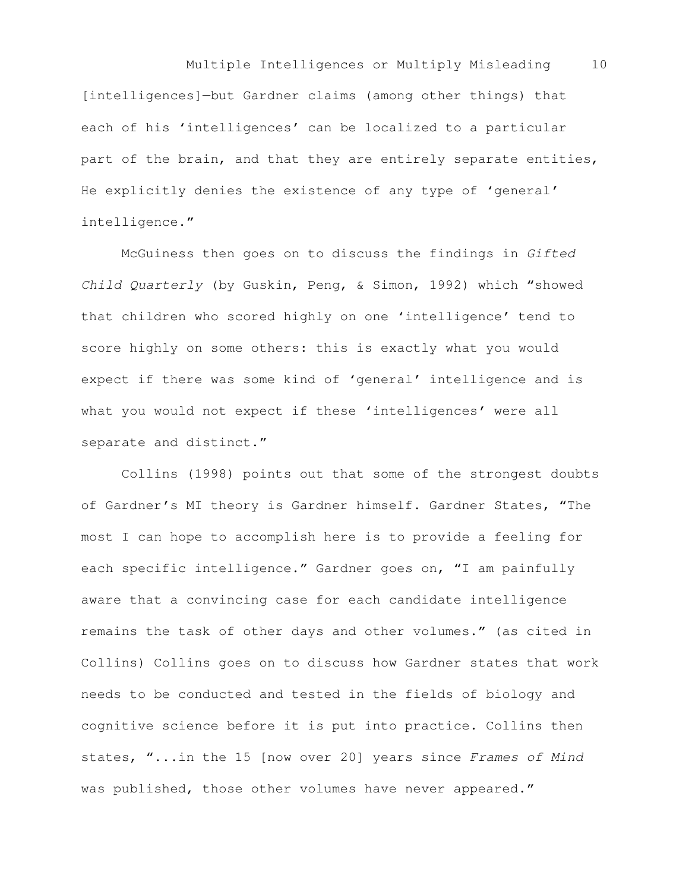Multiple Intelligences or Multiply Misleading 10 [intelligences]—but Gardner claims (among other things) that each of his 'intelligences' can be localized to a particular part of the brain, and that they are entirely separate entities, He explicitly denies the existence of any type of 'general' intelligence."

McGuiness then goes on to discuss the findings in Gifted Child Quarterly (by Guskin, Peng, & Simon, 1992) which "showed that children who scored highly on one 'intelligence' tend to score highly on some others: this is exactly what you would expect if there was some kind of 'general' intelligence and is what you would not expect if these 'intelligences' were all separate and distinct."

Collins (1998) points out that some of the strongest doubts of Gardner's MI theory is Gardner himself. Gardner States, "The most I can hope to accomplish here is to provide a feeling for each specific intelligence." Gardner goes on, "I am painfully aware that a convincing case for each candidate intelligence remains the task of other days and other volumes." (as cited in Collins) Collins goes on to discuss how Gardner states that work needs to be conducted and tested in the fields of biology and cognitive science before it is put into practice. Collins then states, "...in the 15 [now over 20] years since Frames of Mind was published, those other volumes have never appeared."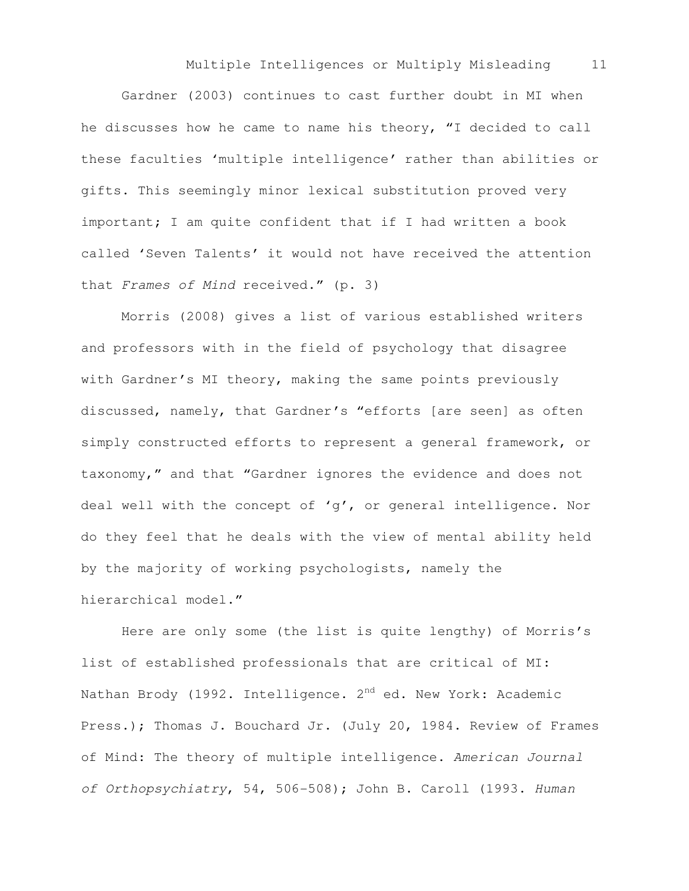Gardner (2003) continues to cast further doubt in MI when he discusses how he came to name his theory, "I decided to call these faculties 'multiple intelligence' rather than abilities or gifts. This seemingly minor lexical substitution proved very important; I am quite confident that if I had written a book called 'Seven Talents' it would not have received the attention that Frames of Mind received." (p. 3)

Morris (2008) gives a list of various established writers and professors with in the field of psychology that disagree with Gardner's MI theory, making the same points previously discussed, namely, that Gardner's "efforts [are seen] as often simply constructed efforts to represent a general framework, or taxonomy," and that "Gardner ignores the evidence and does not deal well with the concept of 'g', or general intelligence. Nor do they feel that he deals with the view of mental ability held by the majority of working psychologists, namely the hierarchical model."

Here are only some (the list is quite lengthy) of Morris's list of established professionals that are critical of MI: Nathan Brody (1992. Intelligence. 2<sup>nd</sup> ed. New York: Academic Press.); Thomas J. Bouchard Jr. (July 20, 1984. Review of Frames of Mind: The theory of multiple intelligence. American Journal of Orthopsychiatry, 54, 506-508); John B. Caroll (1993. Human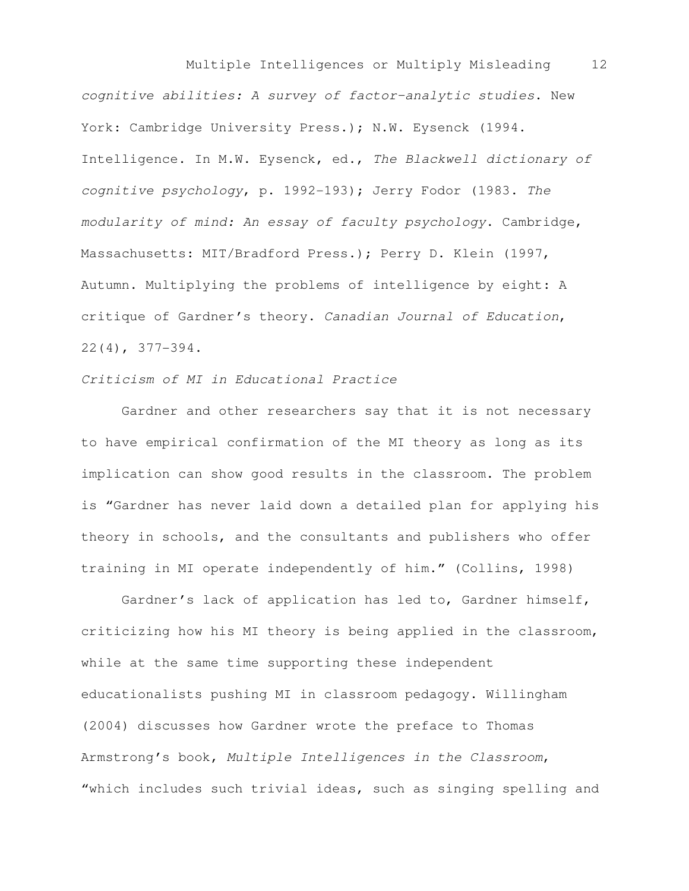Multiple Intelligences or Multiply Misleading 12 cognitive abilities: A survey of factor-analytic studies. New York: Cambridge University Press.); N.W. Eysenck (1994. Intelligence. In M.W. Eysenck, ed., The Blackwell dictionary of cognitive psychology, p. 1992-193); Jerry Fodor (1983. The modularity of mind: An essay of faculty psychology. Cambridge, Massachusetts: MIT/Bradford Press.); Perry D. Klein (1997, Autumn. Multiplying the problems of intelligence by eight: A critique of Gardner's theory. Canadian Journal of Education, 22(4), 377-394.

## Criticism of MI in Educational Practice

Gardner and other researchers say that it is not necessary to have empirical confirmation of the MI theory as long as its implication can show good results in the classroom. The problem is "Gardner has never laid down a detailed plan for applying his theory in schools, and the consultants and publishers who offer training in MI operate independently of him." (Collins, 1998)

Gardner's lack of application has led to, Gardner himself, criticizing how his MI theory is being applied in the classroom, while at the same time supporting these independent educationalists pushing MI in classroom pedagogy. Willingham (2004) discusses how Gardner wrote the preface to Thomas Armstrong's book, Multiple Intelligences in the Classroom, "which includes such trivial ideas, such as singing spelling and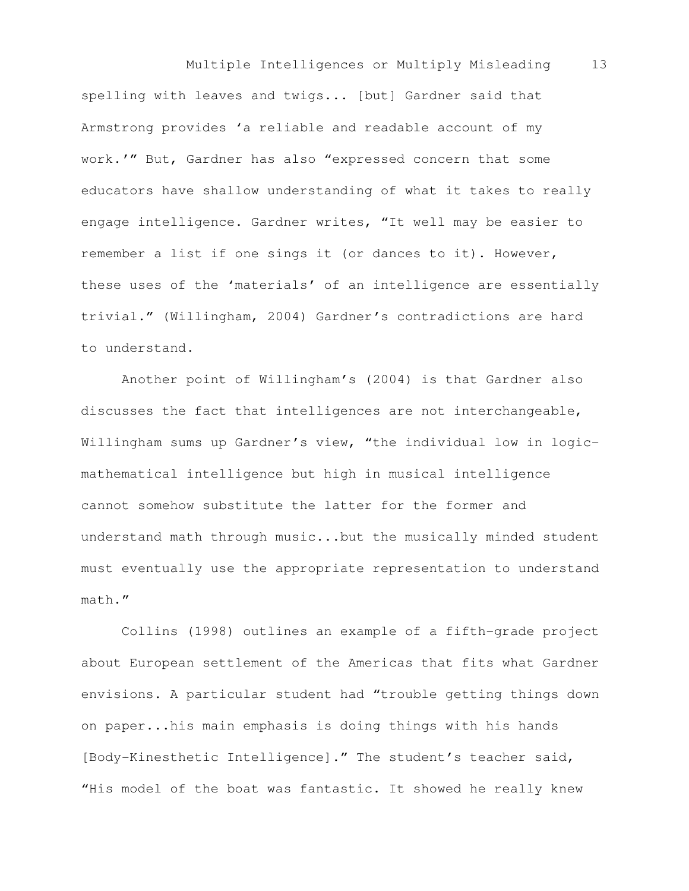Multiple Intelligences or Multiply Misleading 13 spelling with leaves and twigs... [but] Gardner said that Armstrong provides 'a reliable and readable account of my work.'" But, Gardner has also "expressed concern that some educators have shallow understanding of what it takes to really engage intelligence. Gardner writes, "It well may be easier to remember a list if one sings it (or dances to it). However, these uses of the 'materials' of an intelligence are essentially trivial." (Willingham, 2004) Gardner's contradictions are hard to understand.

Another point of Willingham's (2004) is that Gardner also discusses the fact that intelligences are not interchangeable, Willingham sums up Gardner's view, "the individual low in logicmathematical intelligence but high in musical intelligence cannot somehow substitute the latter for the former and understand math through music...but the musically minded student must eventually use the appropriate representation to understand math."

Collins (1998) outlines an example of a fifth-grade project about European settlement of the Americas that fits what Gardner envisions. A particular student had "trouble getting things down on paper...his main emphasis is doing things with his hands [Body-Kinesthetic Intelligence]." The student's teacher said, "His model of the boat was fantastic. It showed he really knew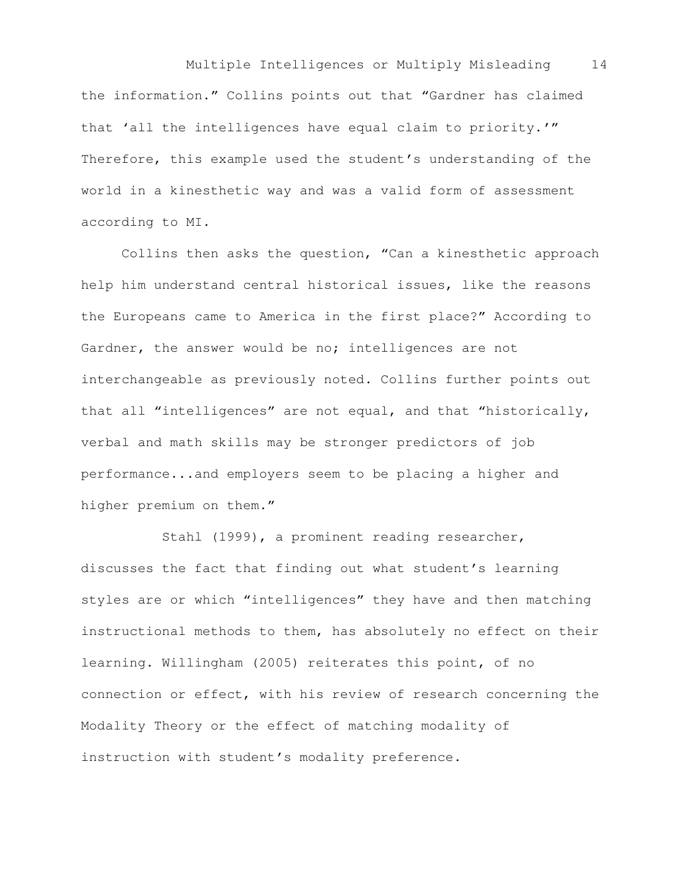Multiple Intelligences or Multiply Misleading 14 the information." Collins points out that "Gardner has claimed that 'all the intelligences have equal claim to priority.'" Therefore, this example used the student's understanding of the world in a kinesthetic way and was a valid form of assessment according to MI.

Collins then asks the question, "Can a kinesthetic approach help him understand central historical issues, like the reasons the Europeans came to America in the first place?" According to Gardner, the answer would be no; intelligences are not interchangeable as previously noted. Collins further points out that all "intelligences" are not equal, and that "historically, verbal and math skills may be stronger predictors of job performance...and employers seem to be placing a higher and higher premium on them."

 Stahl (1999), a prominent reading researcher, discusses the fact that finding out what student's learning styles are or which "intelligences" they have and then matching instructional methods to them, has absolutely no effect on their learning. Willingham (2005) reiterates this point, of no connection or effect, with his review of research concerning the Modality Theory or the effect of matching modality of instruction with student's modality preference.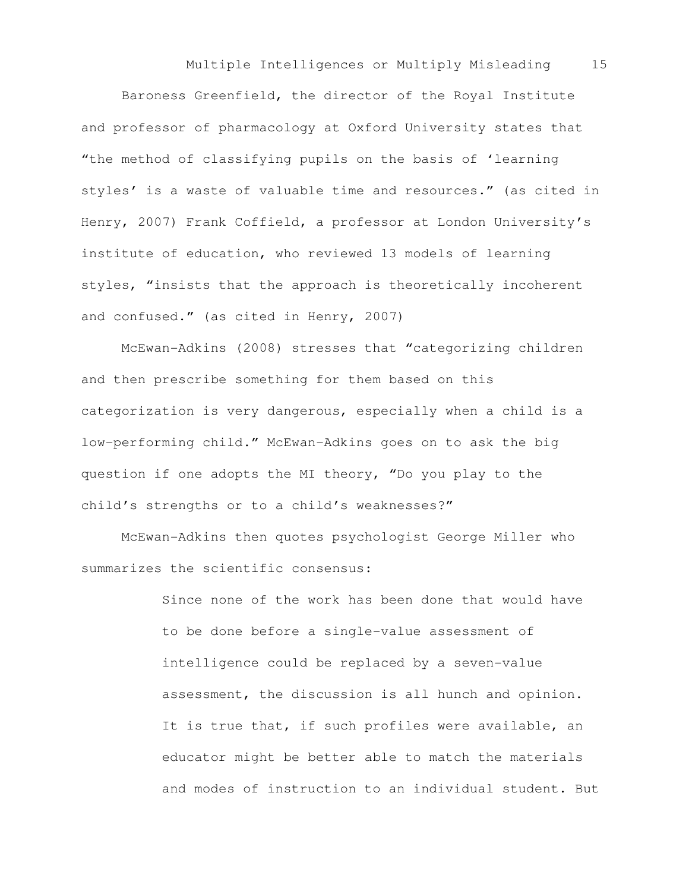Baroness Greenfield, the director of the Royal Institute and professor of pharmacology at Oxford University states that "the method of classifying pupils on the basis of 'learning styles' is a waste of valuable time and resources." (as cited in Henry, 2007) Frank Coffield, a professor at London University's institute of education, who reviewed 13 models of learning styles, "insists that the approach is theoretically incoherent and confused." (as cited in Henry, 2007)

McEwan-Adkins (2008) stresses that "categorizing children and then prescribe something for them based on this categorization is very dangerous, especially when a child is a low-performing child." McEwan-Adkins goes on to ask the big question if one adopts the MI theory, "Do you play to the child's strengths or to a child's weaknesses?"

McEwan-Adkins then quotes psychologist George Miller who summarizes the scientific consensus:

> Since none of the work has been done that would have to be done before a single-value assessment of intelligence could be replaced by a seven-value assessment, the discussion is all hunch and opinion. It is true that, if such profiles were available, an educator might be better able to match the materials and modes of instruction to an individual student. But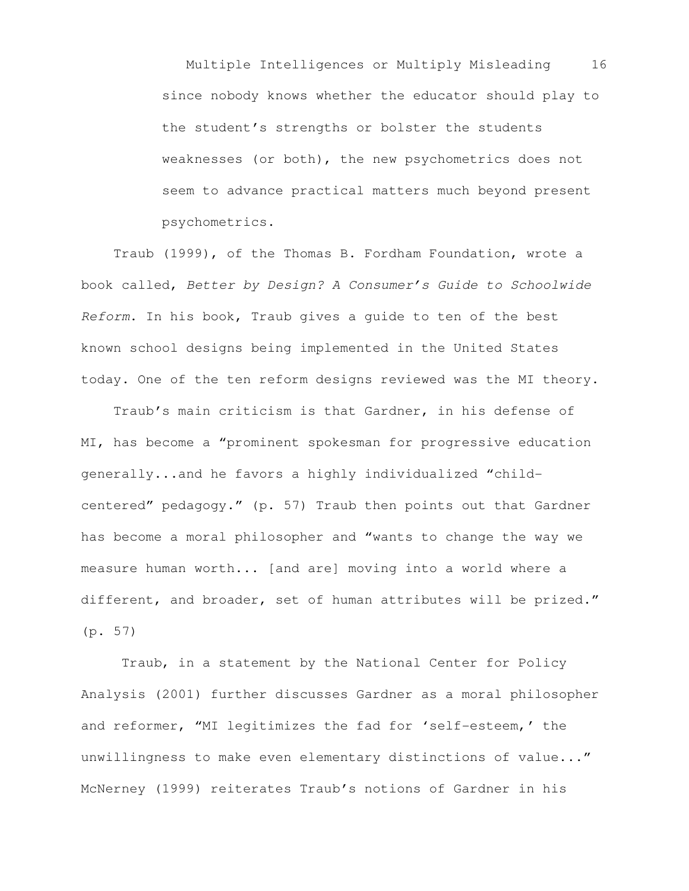Multiple Intelligences or Multiply Misleading 16 since nobody knows whether the educator should play to the student's strengths or bolster the students weaknesses (or both), the new psychometrics does not seem to advance practical matters much beyond present psychometrics.

 Traub (1999), of the Thomas B. Fordham Foundation, wrote a book called, Better by Design? A Consumer's Guide to Schoolwide Reform. In his book, Traub gives a guide to ten of the best known school designs being implemented in the United States today. One of the ten reform designs reviewed was the MI theory.

 Traub's main criticism is that Gardner, in his defense of MI, has become a "prominent spokesman for progressive education generally...and he favors a highly individualized "childcentered" pedagogy." (p. 57) Traub then points out that Gardner has become a moral philosopher and "wants to change the way we measure human worth... [and are] moving into a world where a different, and broader, set of human attributes will be prized." (p. 57)

Traub, in a statement by the National Center for Policy Analysis (2001) further discusses Gardner as a moral philosopher and reformer, "MI legitimizes the fad for 'self-esteem,' the unwillingness to make even elementary distinctions of value..." McNerney (1999) reiterates Traub's notions of Gardner in his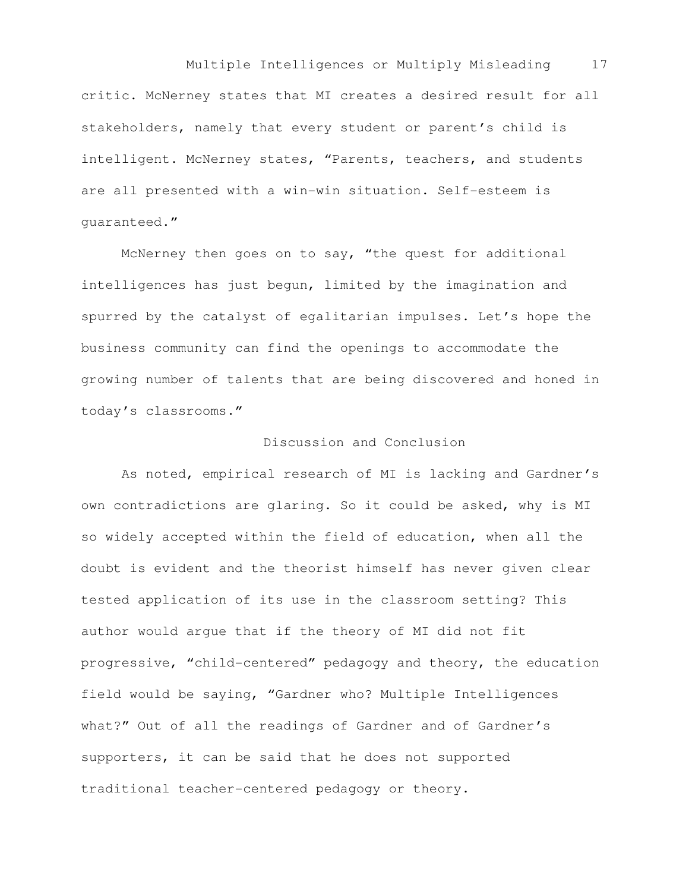Multiple Intelligences or Multiply Misleading 17 critic. McNerney states that MI creates a desired result for all stakeholders, namely that every student or parent's child is intelligent. McNerney states, "Parents, teachers, and students are all presented with a win-win situation. Self-esteem is guaranteed."

McNerney then goes on to say, "the quest for additional intelligences has just begun, limited by the imagination and spurred by the catalyst of egalitarian impulses. Let's hope the business community can find the openings to accommodate the growing number of talents that are being discovered and honed in today's classrooms."

## Discussion and Conclusion

As noted, empirical research of MI is lacking and Gardner's own contradictions are glaring. So it could be asked, why is MI so widely accepted within the field of education, when all the doubt is evident and the theorist himself has never given clear tested application of its use in the classroom setting? This author would argue that if the theory of MI did not fit progressive, "child-centered" pedagogy and theory, the education field would be saying, "Gardner who? Multiple Intelligences what?" Out of all the readings of Gardner and of Gardner's supporters, it can be said that he does not supported traditional teacher-centered pedagogy or theory.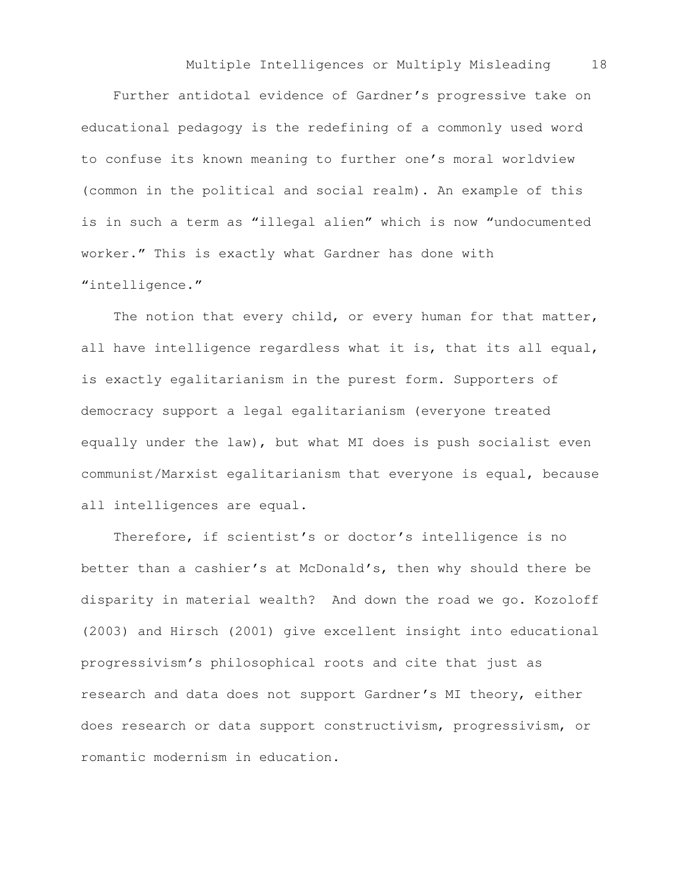Further antidotal evidence of Gardner's progressive take on educational pedagogy is the redefining of a commonly used word to confuse its known meaning to further one's moral worldview (common in the political and social realm). An example of this is in such a term as "illegal alien" which is now "undocumented worker." This is exactly what Gardner has done with "intelligence."

The notion that every child, or every human for that matter, all have intelligence regardless what it is, that its all equal, is exactly egalitarianism in the purest form. Supporters of democracy support a legal egalitarianism (everyone treated equally under the law), but what MI does is push socialist even communist/Marxist egalitarianism that everyone is equal, because all intelligences are equal.

 Therefore, if scientist's or doctor's intelligence is no better than a cashier's at McDonald's, then why should there be disparity in material wealth? And down the road we go. Kozoloff (2003) and Hirsch (2001) give excellent insight into educational progressivism's philosophical roots and cite that just as research and data does not support Gardner's MI theory, either does research or data support constructivism, progressivism, or romantic modernism in education.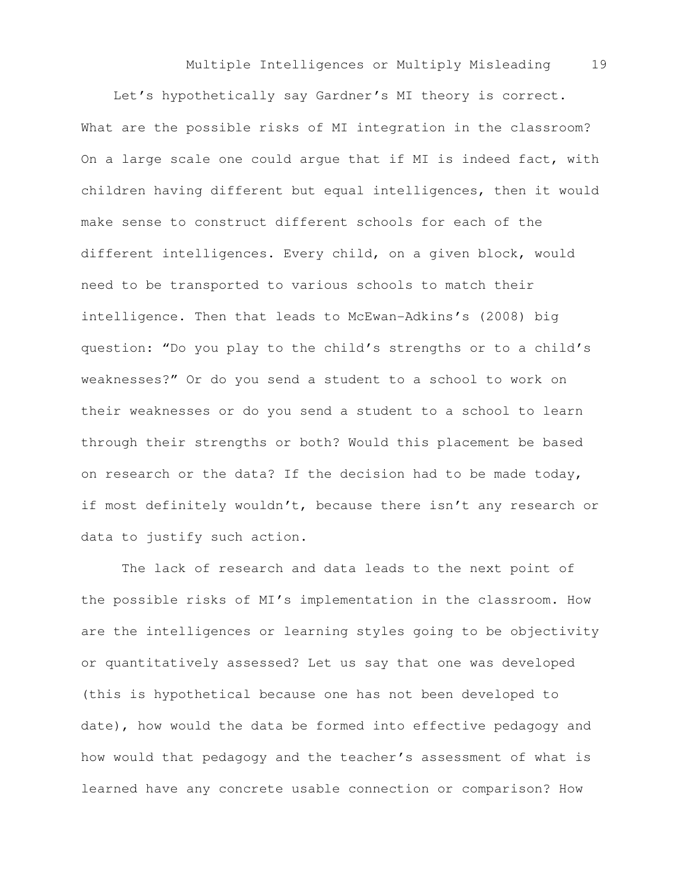Let's hypothetically say Gardner's MI theory is correct. What are the possible risks of MI integration in the classroom? On a large scale one could argue that if MI is indeed fact, with children having different but equal intelligences, then it would make sense to construct different schools for each of the different intelligences. Every child, on a given block, would need to be transported to various schools to match their intelligence. Then that leads to McEwan-Adkins's (2008) big question: "Do you play to the child's strengths or to a child's weaknesses?" Or do you send a student to a school to work on their weaknesses or do you send a student to a school to learn through their strengths or both? Would this placement be based on research or the data? If the decision had to be made today, if most definitely wouldn't, because there isn't any research or data to justify such action.

 The lack of research and data leads to the next point of the possible risks of MI's implementation in the classroom. How are the intelligences or learning styles going to be objectivity or quantitatively assessed? Let us say that one was developed (this is hypothetical because one has not been developed to date), how would the data be formed into effective pedagogy and how would that pedagogy and the teacher's assessment of what is learned have any concrete usable connection or comparison? How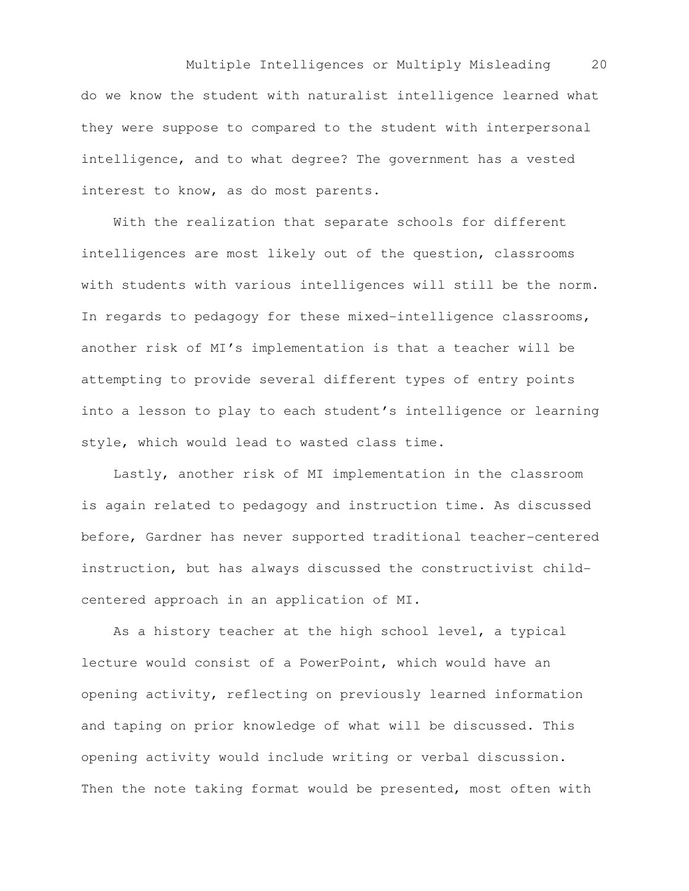Multiple Intelligences or Multiply Misleading 20 do we know the student with naturalist intelligence learned what they were suppose to compared to the student with interpersonal intelligence, and to what degree? The government has a vested interest to know, as do most parents.

 With the realization that separate schools for different intelligences are most likely out of the question, classrooms with students with various intelligences will still be the norm. In regards to pedagogy for these mixed-intelligence classrooms, another risk of MI's implementation is that a teacher will be attempting to provide several different types of entry points into a lesson to play to each student's intelligence or learning style, which would lead to wasted class time.

 Lastly, another risk of MI implementation in the classroom is again related to pedagogy and instruction time. As discussed before, Gardner has never supported traditional teacher-centered instruction, but has always discussed the constructivist childcentered approach in an application of MI.

 As a history teacher at the high school level, a typical lecture would consist of a PowerPoint, which would have an opening activity, reflecting on previously learned information and taping on prior knowledge of what will be discussed. This opening activity would include writing or verbal discussion. Then the note taking format would be presented, most often with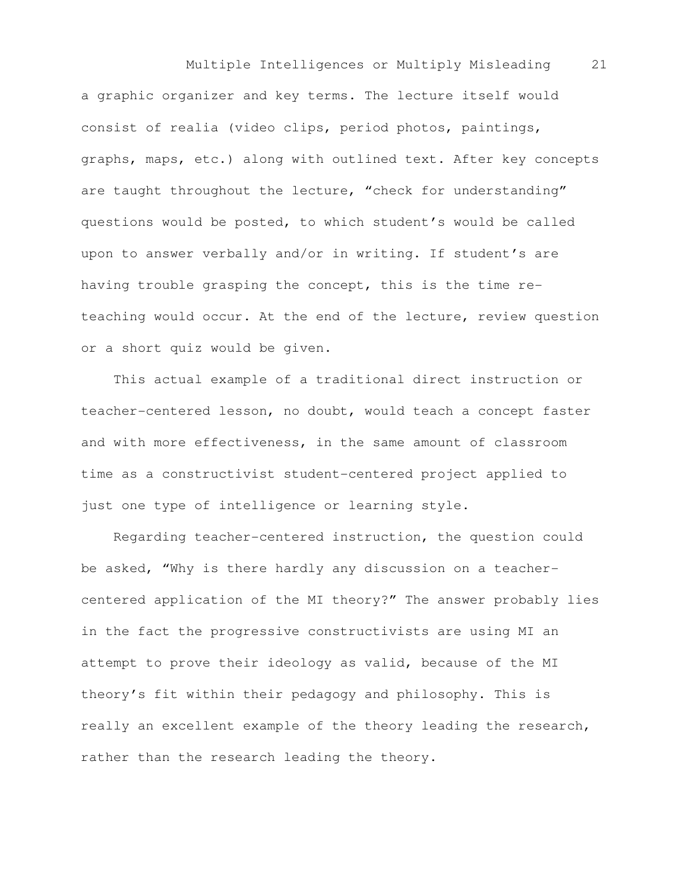Multiple Intelligences or Multiply Misleading 21 a graphic organizer and key terms. The lecture itself would consist of realia (video clips, period photos, paintings, graphs, maps, etc.) along with outlined text. After key concepts are taught throughout the lecture, "check for understanding" questions would be posted, to which student's would be called upon to answer verbally and/or in writing. If student's are having trouble grasping the concept, this is the time reteaching would occur. At the end of the lecture, review question or a short quiz would be given.

 This actual example of a traditional direct instruction or teacher-centered lesson, no doubt, would teach a concept faster and with more effectiveness, in the same amount of classroom time as a constructivist student-centered project applied to just one type of intelligence or learning style.

 Regarding teacher-centered instruction, the question could be asked, "Why is there hardly any discussion on a teachercentered application of the MI theory?" The answer probably lies in the fact the progressive constructivists are using MI an attempt to prove their ideology as valid, because of the MI theory's fit within their pedagogy and philosophy. This is really an excellent example of the theory leading the research, rather than the research leading the theory.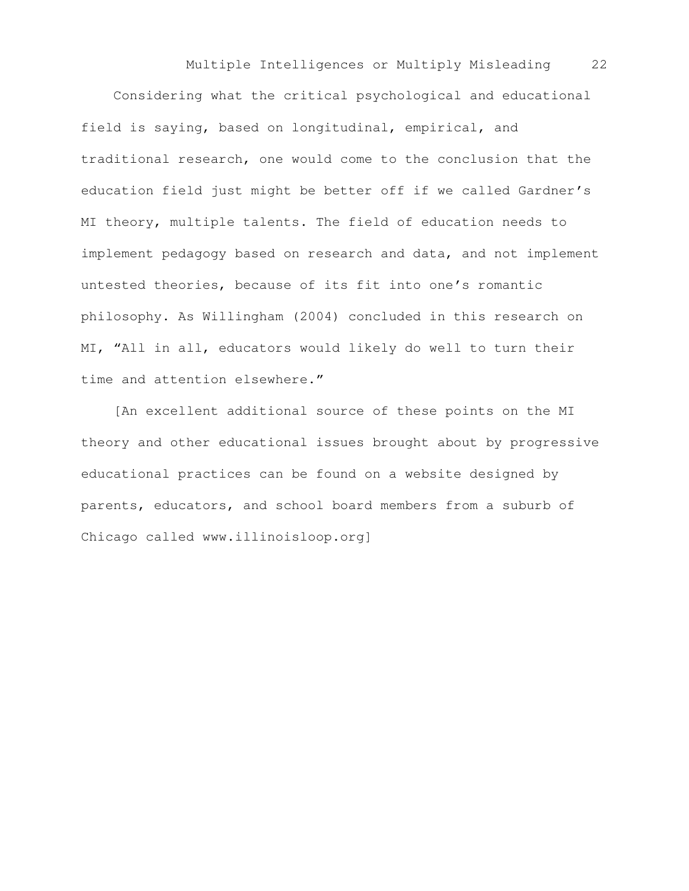Considering what the critical psychological and educational field is saying, based on longitudinal, empirical, and traditional research, one would come to the conclusion that the education field just might be better off if we called Gardner's MI theory, multiple talents. The field of education needs to implement pedagogy based on research and data, and not implement untested theories, because of its fit into one's romantic philosophy. As Willingham (2004) concluded in this research on MI, "All in all, educators would likely do well to turn their time and attention elsewhere."

 [An excellent additional source of these points on the MI theory and other educational issues brought about by progressive educational practices can be found on a website designed by parents, educators, and school board members from a suburb of Chicago called www.illinoisloop.org]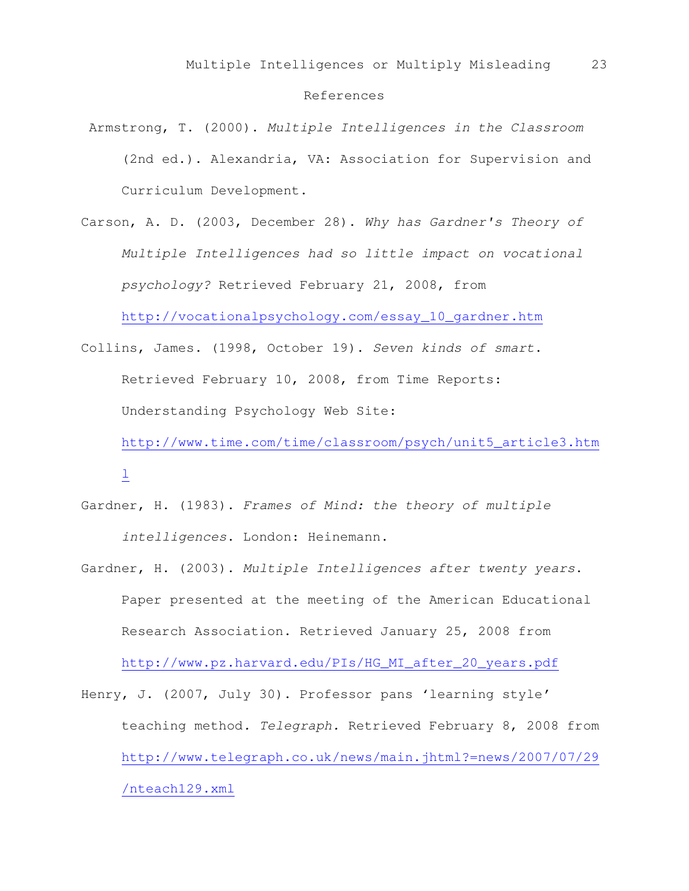## References

- Armstrong, T. (2000). Multiple Intelligences in the Classroom (2nd ed.). Alexandria, VA: Association for Supervision and Curriculum Development.
- Carson, A. D. (2003, December 28). Why has Gardner's Theory of Multiple Intelligences had so little impact on vocational psychology? Retrieved February 21, 2008, from

http://vocationalpsychology.com/essay\_10\_gardner.htm

Collins, James. (1998, October 19). Seven kinds of smart. Retrieved February 10, 2008, from Time Reports: Understanding Psychology Web Site:

http://www.time.com/time/classroom/psych/unit5\_article3.htm  $\overline{\pm}$ 

- Gardner, H. (1983). Frames of Mind: the theory of multiple intelligences. London: Heinemann.
- Gardner, H. (2003). Multiple Intelligences after twenty years. Paper presented at the meeting of the American Educational Research Association. Retrieved January 25, 2008 from

http://www.pz.harvard.edu/PIs/HG\_MI\_after\_20\_years.pdf

Henry, J. (2007, July 30). Professor pans 'learning style' teaching method. Telegraph. Retrieved February 8, 2008 from http://www.telegraph.co.uk/news/main.jhtml?=news/2007/07/29 /nteach129.xml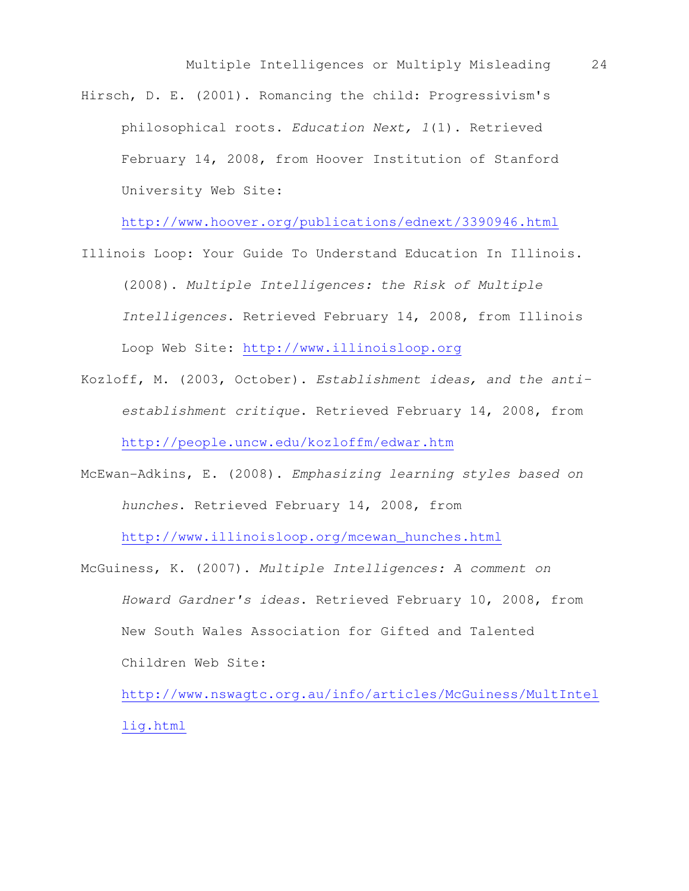Hirsch, D. E. (2001). Romancing the child: Progressivism's philosophical roots. Education Next, 1(1). Retrieved February 14, 2008, from Hoover Institution of Stanford University Web Site:

http://www.hoover.org/publications/ednext/3390946.html

- Illinois Loop: Your Guide To Understand Education In Illinois. (2008). Multiple Intelligences: the Risk of Multiple Intelligences. Retrieved February 14, 2008, from Illinois Loop Web Site: http://www.illinoisloop.org
- Kozloff, M. (2003, October). Establishment ideas, and the antiestablishment critique. Retrieved February 14, 2008, from http://people.uncw.edu/kozloffm/edwar.htm
- McEwan-Adkins, E. (2008). Emphasizing learning styles based on hunches. Retrieved February 14, 2008, from

http://www.illinoisloop.org/mcewan\_hunches.html

McGuiness, K. (2007). Multiple Intelligences: A comment on Howard Gardner's ideas. Retrieved February 10, 2008, from New South Wales Association for Gifted and Talented Children Web Site:

http://www.nswagtc.org.au/info/articles/McGuiness/MultIntel lig.html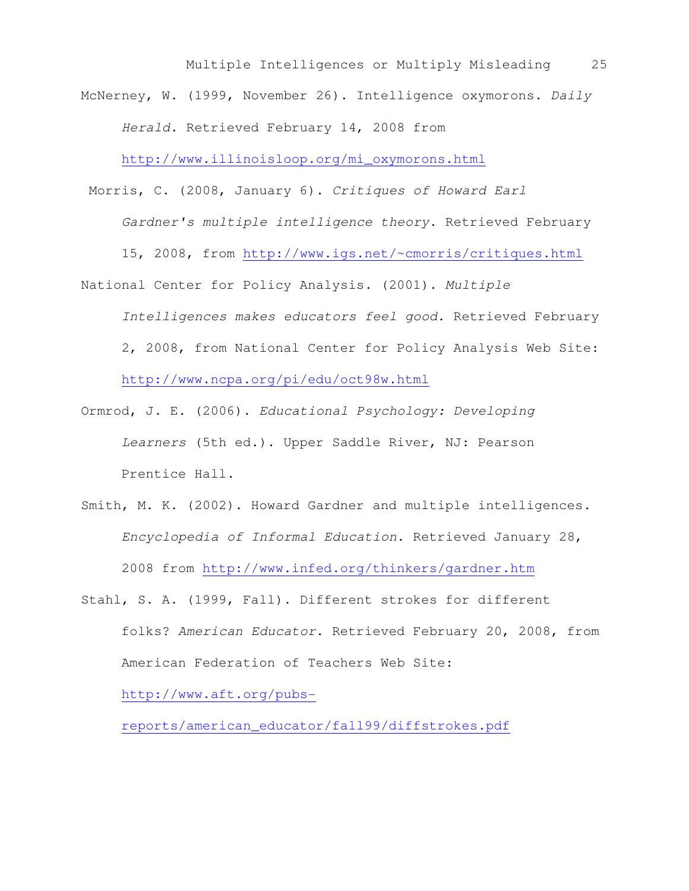McNerney, W. (1999, November 26). Intelligence oxymorons. Daily Herald. Retrieved February 14, 2008 from

http://www.illinoisloop.org/mi\_oxymorons.html

Morris, C. (2008, January 6). Critiques of Howard Earl

Gardner's multiple intelligence theory. Retrieved February

15, 2008, from http://www.igs.net/~cmorris/critiques.html

- National Center for Policy Analysis. (2001). Multiple Intelligences makes educators feel good. Retrieved February 2, 2008, from National Center for Policy Analysis Web Site: http://www.ncpa.org/pi/edu/oct98w.html
- Ormrod, J. E. (2006). Educational Psychology: Developing Learners (5th ed.). Upper Saddle River, NJ: Pearson Prentice Hall.
- Smith, M. K. (2002). Howard Gardner and multiple intelligences. Encyclopedia of Informal Education. Retrieved January 28, 2008 from http://www.infed.org/thinkers/gardner.htm
- Stahl, S. A. (1999, Fall). Different strokes for different folks? American Educator. Retrieved February 20, 2008, from American Federation of Teachers Web Site:

http://www.aft.org/pubs-

reports/american\_educator/fall99/diffstrokes.pdf